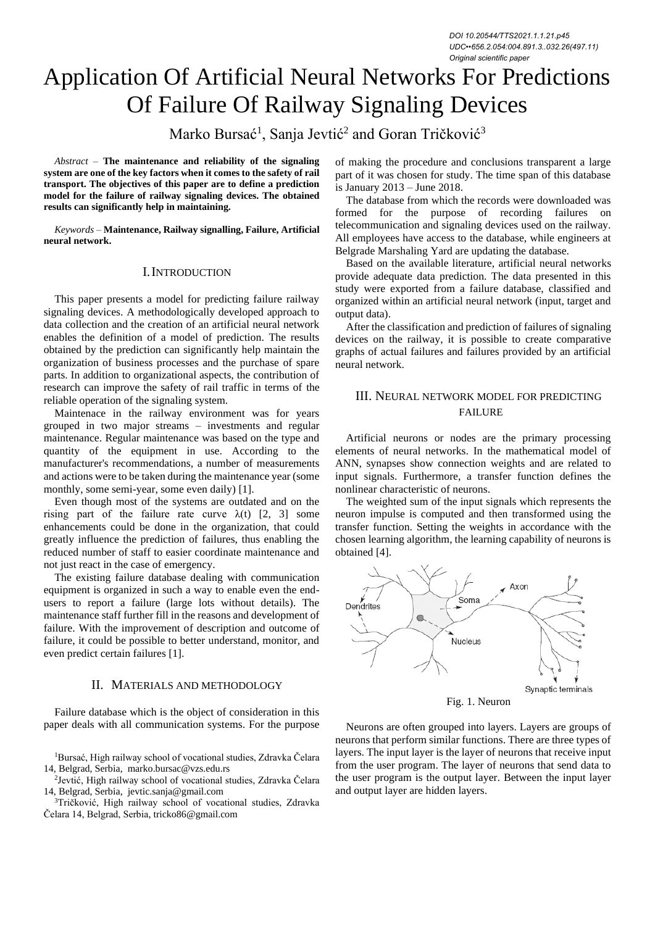# Application Of Artificial Neural Networks For Predictions Of Failure Of Railway Signaling Devices

Marko Bursać<sup>1</sup>, Sanja Jevtić<sup>2</sup> and Goran Tričković<sup>3</sup>

*Abstract –* **The maintenance and reliability of the signaling system are one of the key factors when it comes to the safety of rail transport. The objectives of this paper are to define a prediction model for the failure of railway signaling devices. The obtained results can significantly help in maintaining.**

*Keywords –* **Maintenance, Railway signalling, Failure, Artificial neural network.**

## I.INTRODUCTION

This paper presents a model for predicting failure railway signaling devices. A methodologically developed approach to data collection and the creation of an artificial neural network enables the definition of a model of prediction. The results obtained by the prediction can significantly help maintain the organization of business processes and the purchase of spare parts. In addition to organizational aspects, the contribution of research can improve the safety of rail traffic in terms of the reliable operation of the signaling system.

Maintenace in the railway environment was for years grouped in two major streams – investments and regular maintenance. Regular maintenance was based on the type and quantity of the equipment in use. According to the manufacturer's recommendations, a number of measurements and actions were to be taken during the maintenance year (some monthly, some semi-year, some even daily) [1].

Even though most of the systems are outdated and on the rising part of the failure rate curve  $\lambda(t)$  [2, 3] some enhancements could be done in the organization, that could greatly influence the prediction of failures, thus enabling the reduced number of staff to easier coordinate maintenance and not just react in the case of emergency.

The existing failure database dealing with communication equipment is organized in such a way to enable even the endusers to report a failure (large lots without details). The maintenance staff further fill in the reasons and development of failure. With the improvement of description and outcome of failure, it could be possible to better understand, monitor, and even predict certain failures [1].

## II. MATERIALS AND METHODOLOGY

Failure database which is the object of consideration in this paper deals with all communication systems. For the purpose

<sup>1</sup>Bursać, High railway school of vocational studies, Zdravka Čelara 14, Belgrad, Serbia, marko.bursac@vzs.edu.rs

2 Jevtić, High railway school of vocational studies, Zdravka Čelara 14, Belgrad, Serbia, jevtic.sanja@gmail.com

<sup>3</sup>Tričković, High railway school of vocational studies, Zdravka Čelara 14, Belgrad, Serbia, tricko86@gmail.com

of making the procedure and conclusions transparent a large part of it was chosen for study. The time span of this database is January 2013 – June 2018.

The database from which the records were downloaded was formed for the purpose of recording failures on telecommunication and signaling devices used on the railway. All employees have access to the database, while engineers at Belgrade Marshaling Yard are updating the database.

Based on the available literature, artificial neural networks provide adequate data prediction. The data presented in this study were exported from a failure database, classified and organized within an artificial neural network (input, target and output data).

After the classification and prediction of failures of signaling devices on the railway, it is possible to create comparative graphs of actual failures and failures provided by an artificial neural network.

# III. NEURAL NETWORK MODEL FOR PREDICTING FAILURE

Artificial neurons or nodes are the primary processing elements of neural networks. In the mathematical model of ANN, synapses show connection weights and are related to input signals. Furthermore, a transfer function defines the nonlinear characteristic of neurons.

The weighted sum of the input signals which represents the neuron impulse is computed and then transformed using the transfer function. Setting the weights in accordance with the chosen learning algorithm, the learning capability of neurons is obtained [4].



Fig. 1. Neuron

Neurons are often grouped into layers. Layers are groups of neurons that perform similar functions. There are three types of layers. The input layer is the layer of neurons that receive input from the user program. The layer of neurons that send data to the user program is the output layer. Between the input layer and output layer are hidden layers.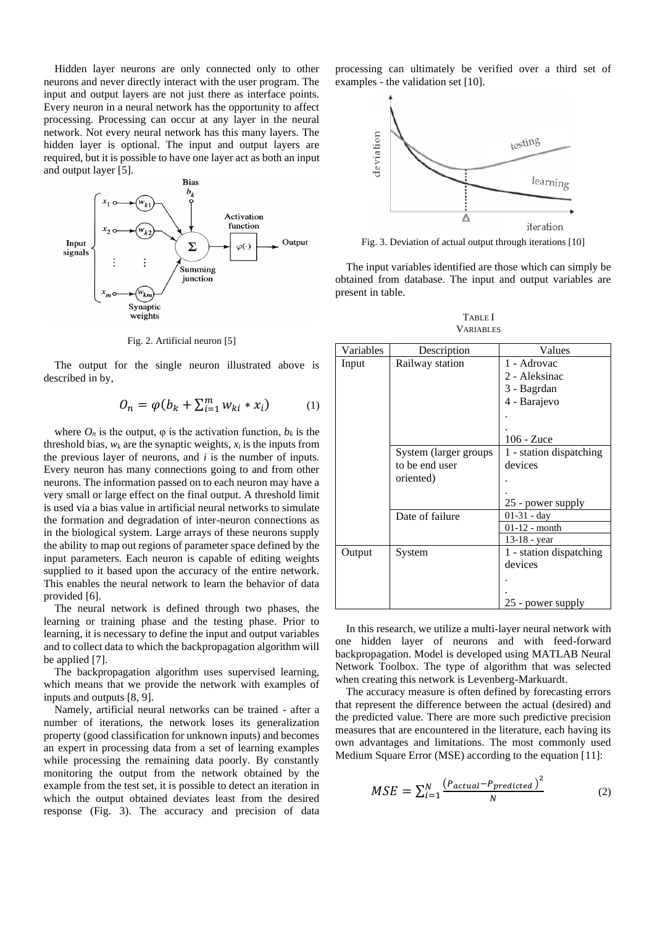Hidden layer neurons are only connected only to other neurons and never directly interact with the user program. The input and output layers are not just there as interface points. Every neuron in a neural network has the opportunity to affect processing. Processing can occur at any layer in the neural network. Not every neural network has this many layers. The hidden layer is optional. The input and output layers are required, but it is possible to have one layer act as both an input and output layer [5].



Fig. 2. Artificial neuron [5]

The output for the single neuron illustrated above is described in by,

$$
O_n = \varphi(b_k + \sum_{i=1}^m w_{ki} * x_i)
$$
 (1)

where  $O_n$  is the output,  $\varphi$  is the activation function,  $b_k$  is the threshold bias,  $w_k$  are the synaptic weights,  $x_i$  is the inputs from the previous layer of neurons, and *i* is the number of inputs. Every neuron has many connections going to and from other neurons. The information passed on to each neuron may have a very small or large effect on the final output. A threshold limit is used via a bias value in artificial neural networks to simulate the formation and degradation of inter-neuron connections as in the biological system. Large arrays of these neurons supply the ability to map out regions of parameter space defined by the input parameters. Each neuron is capable of editing weights supplied to it based upon the accuracy of the entire network. This enables the neural network to learn the behavior of data provided [6].

The neural network is defined through two phases, the learning or training phase and the testing phase. Prior to learning, it is necessary to define the input and output variables and to collect data to which the backpropagation algorithm will be applied [7].

The backpropagation algorithm uses supervised learning, which means that we provide the network with examples of inputs and outputs [8, 9].

Namely, artificial neural networks can be trained - after a number of iterations, the network loses its generalization property (good classification for unknown inputs) and becomes an expert in processing data from a set of learning examples while processing the remaining data poorly. By constantly monitoring the output from the network obtained by the example from the test set, it is possible to detect an iteration in which the output obtained deviates least from the desired response (Fig. 3). The accuracy and precision of data

processing can ultimately be verified over a third set of examples - the validation set [10].



Fig. 3. Deviation of actual output through iterations [10]

The input variables identified are those which can simply be obtained from database. The input and output variables are present in table.

TABLE I **VARIABLES** 

| Variables | Description           | Values                  |
|-----------|-----------------------|-------------------------|
| Input     | Railway station       | 1 - Adrovac             |
|           |                       | 2 - Aleksinac           |
|           |                       | 3 - Bagrdan             |
|           |                       | 4 - Barajevo            |
|           |                       |                         |
|           |                       |                         |
|           |                       | 106 - Zuce              |
|           | System (larger groups | 1 - station dispatching |
|           | to be end user        | devices                 |
|           | oriented)             |                         |
|           |                       |                         |
|           |                       | 25 - power supply       |
|           | Date of failure       | $01-31 - day$           |
|           |                       | $01-12$ - month         |
|           |                       | 13-18 - year            |
| Output    | System                | 1 - station dispatching |
|           |                       | devices                 |
|           |                       |                         |
|           |                       |                         |
|           |                       | 25 - power supply       |

In this research, we utilize a multi-layer neural network with one hidden layer of neurons and with feed-forward backpropagation. Model is developed using MATLAB Neural Network Toolbox. The type of algorithm that was selected when creating this network is Levenberg-Markuardt.

The accuracy measure is often defined by forecasting errors that represent the difference between the actual (desired) and the predicted value. There are more such predictive precision measures that are encountered in the literature, each having its own advantages and limitations. The most commonly used Medium Square Error (MSE) according to the equation [11]:

$$
MSE = \sum_{i=1}^{N} \frac{\left(P_{actual} - P_{predicted}\right)^2}{N} \tag{2}
$$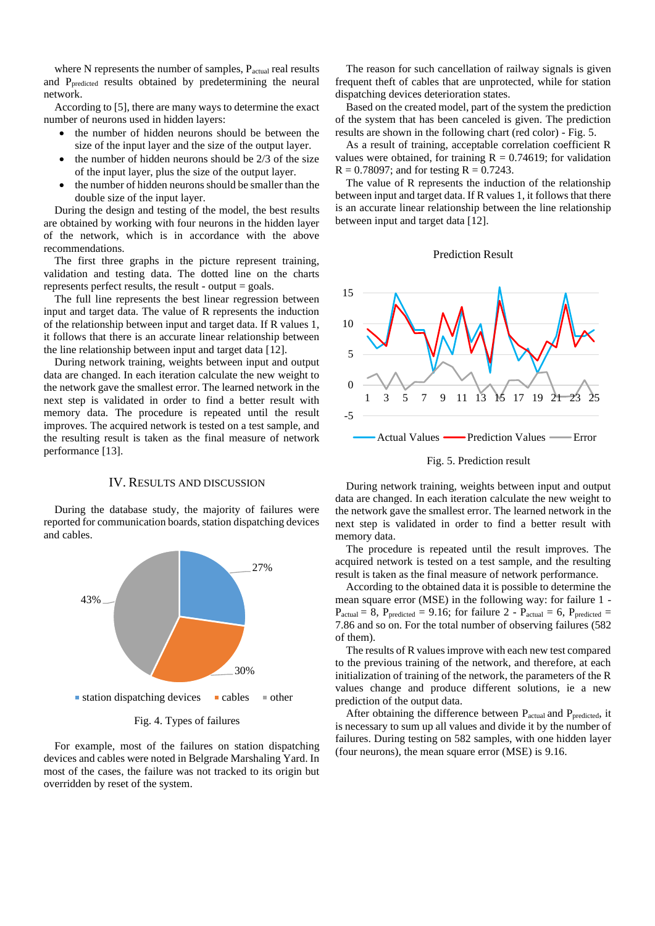where N represents the number of samples,  $P_{actual}$  real results and Ppredicted results obtained by predetermining the neural network.

According to [5], there are many ways to determine the exact number of neurons used in hidden layers:

- the number of hidden neurons should be between the size of the input layer and the size of the output layer.
- the number of hidden neurons should be  $2/3$  of the size of the input layer, plus the size of the output layer.
- the number of hidden neurons should be smaller than the double size of the input layer.

During the design and testing of the model, the best results are obtained by working with four neurons in the hidden layer of the network, which is in accordance with the above recommendations.

The first three graphs in the picture represent training, validation and testing data. The dotted line on the charts represents perfect results, the result - output = goals.

The full line represents the best linear regression between input and target data. The value of R represents the induction of the relationship between input and target data. If R values 1, it follows that there is an accurate linear relationship between the line relationship between input and target data [12].

During network training, weights between input and output data are changed. In each iteration calculate the new weight to the network gave the smallest error. The learned network in the next step is validated in order to find a better result with memory data. The procedure is repeated until the result improves. The acquired network is tested on a test sample, and the resulting result is taken as the final measure of network performance [13].

#### IV. RESULTS AND DISCUSSION

During the database study, the majority of failures were reported for communication boards, station dispatching devices and cables.



For example, most of the failures on station dispatching devices and cables were noted in Belgrade Marshaling Yard. In most of the cases, the failure was not tracked to its origin but overridden by reset of the system.

The reason for such cancellation of railway signals is given frequent theft of cables that are unprotected, while for station dispatching devices deterioration states.

Based on the created model, part of the system the prediction of the system that has been canceled is given. The prediction results are shown in the following chart (red color) - Fig. 5.

As a result of training, acceptable correlation coefficient R values were obtained, for training  $R = 0.74619$ ; for validation  $R = 0.78097$ ; and for testing  $R = 0.7243$ .

The value of R represents the induction of the relationship between input and target data. If R values 1, it follows that there is an accurate linear relationship between the line relationship between input and target data [12].

#### Prediction Result



Fig. 5. Prediction result

During network training, weights between input and output data are changed. In each iteration calculate the new weight to the network gave the smallest error. The learned network in the next step is validated in order to find a better result with memory data.

The procedure is repeated until the result improves. The acquired network is tested on a test sample, and the resulting result is taken as the final measure of network performance.

According to the obtained data it is possible to determine the mean square error (MSE) in the following way: for failure 1 -  $P_{actual} = 8$ ,  $P_{predicted} = 9.16$ ; for failure 2 -  $P_{actual} = 6$ ,  $P_{predicted} =$ 7.86 and so on. For the total number of observing failures (582 of them).

The results of R values improve with each new test compared to the previous training of the network, and therefore, at each initialization of training of the network, the parameters of the R values change and produce different solutions, ie a new prediction of the output data.

After obtaining the difference between P<sub>actual</sub> and P<sub>predicted</sub>, it is necessary to sum up all values and divide it by the number of failures. During testing on 582 samples, with one hidden layer (four neurons), the mean square error (MSE) is 9.16.